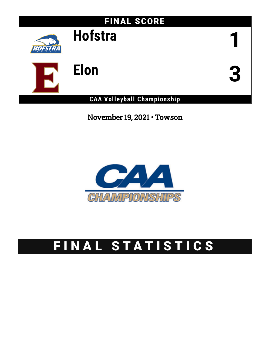## FINAL SCORE



**Hofstra 1**

**Elon 3**

**CAA Volleyball Championship**

November 19, 2021 • Towson



# FINAL STATISTICS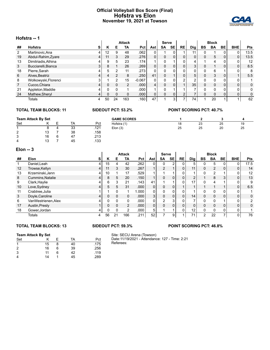#### **Official Volleyball Box Score (Final) Hofstra vs Elon November 19, 2021 at Towson**



#### **Hofstra -- 1**

|                | ו -- אווסוטוו        |    |    |               |                |                   |                |              |                |                          |                          |    |              |          |            |      |
|----------------|----------------------|----|----|---------------|----------------|-------------------|----------------|--------------|----------------|--------------------------|--------------------------|----|--------------|----------|------------|------|
|                |                      |    |    |               | <b>Attack</b>  |                   |                | <b>Serve</b> |                |                          |                          |    | <b>Block</b> |          |            |      |
| ##             | Hofstra              | S. | ĸ  | Е             | TA             | Pct               | Ast            | SA           | SE             | RE                       | <b>Dig</b>               | BS | <b>BA</b>    | BE       | <b>BHE</b> | Pts  |
| $\overline{2}$ | Martinovic, Ana      | 4  | 12 | 9             | 48             | .062              | $\Omega$       |              |                |                          | 11                       |    |              |          | 0          | 13.5 |
| 19             | Abdul-Rahim, Zyare   | 4  | 11 | 3             | 29             | .276              | $\Omega$       |              | $\overline{0}$ |                          | 0                        | 0  | 5            | 0        | 0          | 13.5 |
| 13             | Dimitriadis, Athina  | 4  | 9  | 5             | 23             | .174              |                |              |                |                          | 4                        |    | 4            |          | 0          | 12   |
| 3              | Bucciarelli, Bianca  | 3  | 8  |               | 26             | .269              | $\overline{0}$ | 0            | 0              | $\overline{0}$           | 3                        | 0  |              | 0        | 0          | 8.5  |
| 18             | Pierre, Sarah        | 4  | 5  | 2             | 11             | .273              | 0              |              | 0              |                          | 0                        | 0  | 6            |          | 0          | 8    |
| 6              | Alves, Beatriz       | 4  | 4  | $\mathcal{P}$ | 8              | .250              | 41             |              |                | 0                        | 5                        | 0  | 3            | 0        |            | 5.5  |
| 8              | Wolkowyski, Florenci | 3  |    | 2             | 15             | $-0.067$          | $\overline{0}$ |              | 0              | 2                        | 2                        | 0  | $\Omega$     | 0        | 0          |      |
| $\overline{7}$ | Cucco, Chiara        | 4  | 0  | $\Omega$      | $\overline{2}$ | .000 <sub>1</sub> | 4              |              | 0              |                          | 35                       | 0  | 0            | $\Omega$ | 0          | 0    |
| 21             | Appleton, Maddie     | 4  | 0  | 0             |                | .000              |                |              |                |                          |                          | 0  | $\Omega$     | 0        | 0          | 0    |
| 24             | Mathew, Sheryl       | 4  | 0  | $\Omega$      | 0              | .000 <sub>1</sub> | $\overline{0}$ | 0            | 0              | $\overline{2}$           | $\overline{\phantom{0}}$ | 0  | 0            | 0        | 0          | 0    |
|                | <b>Totals</b>        | 4  | 50 | 24            | 163            | 160               | 47             |              | 3              | $\overline{\phantom{a}}$ | 74                       |    | 20           |          |            | 62   |

#### **TOTAL TEAM BLOCKS: 11 SIDEOUT PCT: 53.2% POINT SCORING PCT: 40.7%**

|        | <b>Team Attack By Set</b> |   |    |      | <b>GAME SCORES</b> |    |    |    |    |
|--------|---------------------------|---|----|------|--------------------|----|----|----|----|
| Set    |                           |   | TA | Pct  | Hofstra (1)        | 18 | 23 | 25 | 19 |
|        |                           |   | 33 | .121 | Elon(3)            | 25 | 25 | 20 | 25 |
| າ<br>▵ | 13                        |   | 38 | .158 |                    |    |    |    |    |
| 3      | 16                        | n | 47 | .213 |                    |    |    |    |    |
| 4      | 13                        |   | 45 | .133 |                    |    |    |    |    |

#### **Elon -- 3**

| сюн — э |                     |   |    |          |                |                   |                |                |           |           |                |               |                |          |              |                |
|---------|---------------------|---|----|----------|----------------|-------------------|----------------|----------------|-----------|-----------|----------------|---------------|----------------|----------|--------------|----------------|
|         |                     |   |    |          | <b>Attack</b>  |                   |                | <b>Serve</b>   |           |           |                |               | <b>Block</b>   |          |              |                |
| ##      | <b>Elon</b>         | s | Κ  | Е        | TA             | Pct               | Ast            | <b>SA</b>      | <b>SE</b> | <b>RE</b> | Dig            | <b>BS</b>     | <b>BA</b>      | BE       | <b>BHE</b>   | <b>Pts</b>     |
|         | Daniel, Leah        | 4 | 15 |          | 42             | .262              |                | 0              | 2         |           | 5              | 0             | 5              | 0        | 0            | 17.5           |
| 12      | Trowse, Kellyn      | 4 | 11 | 3        | 30             | .267              |                | 2              |           | 0         | 11             | $\Omega$      | 2              | $\Omega$ | 0            | 14             |
| 13      | Krzeminski, Jenn    | 4 | 10 |          | 17             | .529              |                |                |           | 0         |                | 0             | $\overline{2}$ |          | 0            | 12             |
| 8       | Cummins, Natalie    | 4 | 8  | 5        | 20             | .150              |                | $\mathbf 0$    | 0         | 0         | $\overline{2}$ |               | 8              | 3        | 0            | 13             |
| 9       | Clark, Haylie       | 4 | 6  | 3        | 21             | .143              | 41             |                |           | 0         | 17             | 0             | 4              |          | 0            | 9              |
| 10      | Love, Sydney        | 4 | 5  | 5        | 31             | .000 <sub>1</sub> | $\mathbf{0}$   | $\mathbf 0$    | 0         |           |                |               |                |          | 0            | 6.5            |
| 11      | Crabtree, Julia     |   |    | 0        |                | 1.000             | $\mathbf{0}$   | $\mathbf{0}$   | 0         | 0         |                | $\Omega$      | 0              | 0        | 0            |                |
| 3       | Doyle, Caroline     | 4 |    | $\Omega$ | 0              | .000 <sub>1</sub> | 3 <sub>l</sub> | $\mathbf 0$    | 0         | 0         | 14             | 0             | 0              | 0        | $\mathbf{0}$ | 0              |
| 6       | VanWestrienen, Alex | 4 |    | $\Omega$ | $\Omega$       | .000 <sub>1</sub> | 0              | $\overline{2}$ | 3         | 0         | 7              | $\Omega$      | $\Omega$       |          | 0            | $\overline{2}$ |
| 17      | Austin, Presly      |   |    | $\Omega$ | 2              | .000 <sub>1</sub> | 0              | $\Omega$       | 0         | 0         | 0              | $\Omega$      | 0              | $\Omega$ | $\mathbf{0}$ | 0              |
| 18      | Gower, Jordan       | 4 |    | $\Omega$ | $\overline{2}$ | .000              | 5              |                |           | 0         | 12             | 0             | $\Omega$       | 0        | 0            |                |
|         | <b>Totals</b>       | 4 | 56 | 21       | 166            | .211              | 52             | 7              | 9         |           | 71             | $\mathcal{P}$ | 22             |          | 0            | 76             |

#### **TOTAL TEAM BLOCKS: 13 SIDEOUT PCT: 59.3% POINT SCORING PCT: 46.8%**

#### **Team Attack By Set** Set K E TA Pct 1 15 8 40 .175 2 16 6 39 .256 3 11 6 42 .119 4 14 1 45 .289

Site: SECU Arena (Towson) Date:11/19/2021 - Attendance: 127 - Time: 2:21 Referees: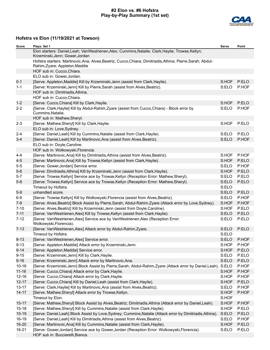#### **#2 Elon vs. #6 Hofstra Play-by-Play Summary (1st set)**



| Score     | Plays: Set 1                                                                                                                                   | Serve | Point |
|-----------|------------------------------------------------------------------------------------------------------------------------------------------------|-------|-------|
|           | Elon starters: Daniel, Leah; VanWestrienen, Alex; Cummins, Natalie; Clark, Haylie; Trowse, Kellyn;<br>Krzeminski, Jenn; Gower, Jordan          |       |       |
|           | Hofstra starters: Martinovic, Ana; Alves, Beatriz; Cucco, Chiara; Dimitriadis, Athina; Pierre, Sarah; Abdul-<br>Rahim, Zyare; Appleton, Maddie |       |       |
|           | HOF sub in: Cucco, Chiara.                                                                                                                     |       |       |
|           | ELO sub in: Gower, Jordan.                                                                                                                     |       |       |
| $0 - 1$   | [Serve: Appleton, Maddie] Kill by Krzeminski, Jenn (assist from Clark, Haylie).                                                                | S:HOF | P:ELO |
| $1 - 1$   | [Serve: Krzeminski, Jenn] Kill by Pierre, Sarah (assist from Alves, Beatriz).                                                                  | S:ELO | P:HOF |
|           | HOF sub in: Dimitriadis, Athina.                                                                                                               |       |       |
|           | HOF sub in: Cucco, Chiara.                                                                                                                     |       |       |
| $1 - 2$   | [Serve: Cucco, Chiara] Kill by Clark, Haylie.                                                                                                  | S:HOF | P:ELO |
| $2 - 2$   | [Serve: Clark, Haylie] Kill by Abdul-Rahim, Zyare (assist from Cucco, Chiara) - Block error by<br>Cummins, Natalie.                            | S:ELO | P:HOF |
|           | HOF sub in: Mathew, Sheryl.                                                                                                                    |       |       |
| $2 - 3$   | [Serve: Mathew, Sheryl] Kill by Clark, Haylie.                                                                                                 | S:HOF | P:ELO |
|           | ELO sub in: Love, Sydney.                                                                                                                      |       |       |
| $2 - 4$   | [Serve: Daniel, Leah] Kill by Cummins, Natalie (assist from Clark, Haylie).                                                                    | S:ELO | P:ELO |
| $3 - 4$   | [Serve: Daniel, Leah] Kill by Martinovic, Ana (assist from Alves, Beatriz).                                                                    | S:ELO | P:HOF |
|           | ELO sub in: Doyle, Caroline.                                                                                                                   |       |       |
|           | HOF sub in: Wolkowyski, Florencia.                                                                                                             |       |       |
| $4 - 4$   | [Serve: Martinovic, Ana] Kill by Dimitriadis, Athina (assist from Alves, Beatriz).                                                             | S:HOF | P:HOF |
| $4 - 5$   | [Serve: Martinovic, Ana] Kill by Trowse, Kellyn (assist from Clark, Haylie).                                                                   | S:HOF | P:ELO |
| $5-5$     | [Serve: Gower, Jordan] Service error.                                                                                                          | S:ELO | P:HOF |
| $5-6$     | [Serve: Dimitriadis, Athina] Kill by Krzeminski, Jenn (assist from Clark, Haylie).                                                             | S:HOF | P:ELO |
| $5 - 7$   | [Serve: Trowse, Kellyn] Service ace by Trowse, Kellyn (Reception Error: Mathew, Sheryl).                                                       | S:ELO | P:ELO |
| $5-8$     | [Serve: Trowse, Kellyn] Service ace by Trowse, Kellyn (Reception Error: Mathew, Sheryl).                                                       | S:ELO | P:ELO |
|           | Timeout by Hofstra.                                                                                                                            | S:ELO |       |
| $5-9$     | unhandled score.                                                                                                                               | S:ELO | P:ELO |
| $6-9$     | [Serve: Trowse, Kellyn] Kill by Wolkowyski, Florencia (assist from Alves, Beatriz).                                                            | S:ELO | P:HOF |
| $7-9$     | [Serve: Alves, Beatriz] Block Assist by Pierre, Sarah; Abdul-Rahim, Zyare (Attack error by Love, Sydney).                                      | S:HOF | P:HOF |
| $7 - 10$  | [Serve: Alves, Beatriz] Kill by Krzeminski, Jenn (assist from Doyle, Caroline).                                                                | S:HOF | P:ELO |
| $7 - 11$  | [Serve: VanWestrienen, Alex] Kill by Trowse, Kellyn (assist from Clark, Haylie).                                                               | S:ELO | P:ELO |
| $7 - 12$  | [Serve: VanWestrienen, Alex] Service ace by VanWestrienen, Alex (Reception Error:<br>Wolkowyski, Florencia).                                   | S:ELO | P:ELO |
| $7 - 13$  | [Serve: VanWestrienen, Alex] Attack error by Abdul-Rahim, Zyare.                                                                               | S:ELO | P:ELO |
|           | Timeout by Hofstra.                                                                                                                            | S:ELO |       |
| $8 - 13$  | [Serve: VanWestrienen, Alex] Service error.                                                                                                    | S:ELO | P:HOF |
| $9 - 13$  | [Serve: Appleton, Maddie] Attack error by Krzeminski, Jenn.                                                                                    | S:HOF | P:HOF |
| $9 - 14$  | [Serve: Appleton, Maddie] Service error.                                                                                                       | S:HOF | P:ELO |
| $9 - 15$  | [Serve: Krzeminski, Jenn] Kill by Clark, Haylie.                                                                                               | S:ELO | P:ELO |
| $9 - 16$  | [Serve: Krzeminski, Jenn] Attack error by Martinovic, Ana.                                                                                     | S:ELO | P:ELO |
| $10 - 16$ | [Serve: Krzeminski, Jenn] Block Assist by Pierre, Sarah; Abdul-Rahim, Zyare (Attack error by Daniel, Leah). S:ELO                              |       | P:HOF |
| $11 - 16$ | [Serve: Cucco, Chiara] Attack error by Clark, Haylie.                                                                                          | S:HOF | P:HOF |
| $12 - 16$ | [Serve: Cucco, Chiara] Attack error by Clark, Haylie.                                                                                          | S:HOF | P:HOF |
| $12 - 17$ | [Serve: Cucco, Chiara] Kill by Daniel, Leah (assist from Clark, Haylie).                                                                       | S:HOF | P:ELO |
| $13 - 17$ | [Serve: Clark, Haylie] Kill by Martinovic, Ana (assist from Alves, Beatriz).                                                                   | S:ELO | P:HOF |
| $14 - 17$ | [Serve: Mathew, Sheryl] Attack error by Trowse, Kellyn.                                                                                        | S:HOF | P:HOF |
|           | Timeout by Elon.                                                                                                                               | S:HOF |       |
| $15 - 17$ | [Serve: Mathew, Sheryl] Block Assist by Alves, Beatriz; Dimitriadis, Athina (Attack error by Daniel, Leah).                                    | S:HOF | P:HOF |
| $15 - 18$ | [Serve: Mathew, Sheryl] Kill by Cummins, Natalie (assist from Clark, Haylie).                                                                  | S:HOF | P:ELO |
| 15-19     | [Serve: Daniel, Leah] Block Assist by Love, Sydney; Cummins, Natalie (Attack error by Dimitriadis, Athina).                                    | S:ELO | P:ELO |
| 16-19     | [Serve: Daniel, Leah] Kill by Dimitriadis, Athina (assist from Alves, Beatriz).                                                                | S:ELO | P:HOF |
| 16-20     | [Serve: Martinovic, Ana] Kill by Cummins, Natalie (assist from Clark, Haylie).                                                                 | S:HOF | P:ELO |
| $16 - 21$ | [Serve: Gower, Jordan] Service ace by Gower, Jordan (Reception Error: Wolkowyski, Florencia).                                                  | S:ELO | P:ELO |
|           | HOF sub in: Bucciarelli, Bianca.                                                                                                               |       |       |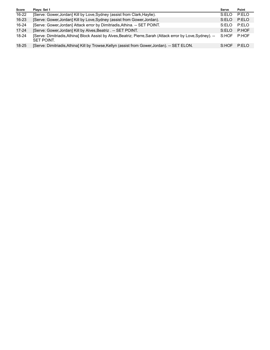| Score | Plays: Set 1                                                                                                                       | Serve    | Point  |
|-------|------------------------------------------------------------------------------------------------------------------------------------|----------|--------|
| 16-22 | [Serve: Gower, Jordan] Kill by Love, Sydney (assist from Clark, Haylie).                                                           | S:FI O   | P:ELO  |
| 16-23 | [Serve: Gower, Jordan] Kill by Love, Sydney (assist from Gower, Jordan).                                                           | $S$ :FIO | P:FI O |
| 16-24 | [Serve: Gower, Jordan] Attack error by Dimitriadis, Athina. -- SET POINT.                                                          | S:FI O   | P:FI O |
| 17-24 | [Serve: Gower, Jordan] Kill by Alves, Beatriz . -- SET POINT.                                                                      | $S$ :FIO | P:HOF  |
| 18-24 | [Serve: Dimitriadis, Athina] Block Assist by Alves, Beatriz; Pierre, Sarah (Attack error by Love, Sydney). --<br><b>SET POINT.</b> | S:HOF    | P:HOF  |
| 18-25 | [Serve: Dimitriadis, Athina] Kill by Trowse, Kellyn (assist from Gower, Jordan). -- SET ELON.                                      | S:HOF    | P:FI O |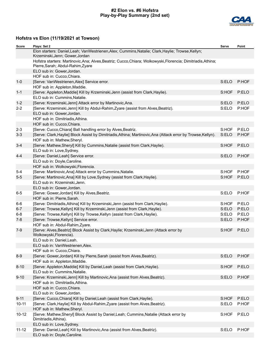#### **#2 Elon vs. #6 Hofstra Play-by-Play Summary (2nd set)**



| <b>Score</b> | Plays: Set 2                                                                                                                                       | Serve | Point |
|--------------|----------------------------------------------------------------------------------------------------------------------------------------------------|-------|-------|
|              | Elon starters: Daniel, Leah; VanWestrienen, Alex; Cummins, Natalie; Clark, Haylie; Trowse, Kellyn;<br>Krzeminski, Jenn; Gower, Jordan              |       |       |
|              | Hofstra starters: Martinovic, Ana; Alves, Beatriz; Cucco, Chiara; Wolkowyski, Florencia; Dimitriadis, Athina;<br>Pierre, Sarah; Abdul-Rahim, Zyare |       |       |
|              | ELO sub in: Gower, Jordan.                                                                                                                         |       |       |
|              | HOF sub in: Cucco, Chiara.                                                                                                                         |       |       |
| $1 - 0$      | [Serve: VanWestrienen, Alex] Service error.                                                                                                        | S:ELO | P:HOF |
|              | HOF sub in: Appleton, Maddie.                                                                                                                      |       |       |
| $1 - 1$      | [Serve: Appleton, Maddie] Kill by Krzeminski, Jenn (assist from Clark, Haylie).<br>ELO sub in: Cummins, Natalie.                                   | S:HOF | P:ELO |
| $1-2$        | [Serve: Krzeminski, Jenn] Attack error by Martinovic, Ana.                                                                                         | S:ELO | P:ELO |
| $2 - 2$      | [Serve: Krzeminski, Jenn] Kill by Abdul-Rahim, Zyare (assist from Alves, Beatriz).                                                                 | S:ELO | P:HOF |
|              | ELO sub in: Gower, Jordan.                                                                                                                         |       |       |
|              | HOF sub in: Dimitriadis, Athina.                                                                                                                   |       |       |
|              | HOF sub in: Cucco, Chiara.                                                                                                                         |       |       |
| $2 - 3$      | [Serve: Cucco, Chiara] Ball handling error by Alves, Beatriz.                                                                                      | S:HOF | P:ELO |
| $3 - 3$      | [Serve: Clark, Haylie] Block Assist by Dimitriadis, Athina; Martinovic, Ana (Attack error by Trowse, Kellyn).                                      | S:ELO | P:HOF |
|              | HOF sub in: Mathew, Sheryl.                                                                                                                        |       |       |
| $3 - 4$      | [Serve: Mathew, Sheryl] Kill by Cummins, Natalie (assist from Clark, Haylie).                                                                      | S:HOF | P:ELO |
|              | ELO sub in: Love, Sydney.                                                                                                                          |       |       |
| $4 - 4$      | [Serve: Daniel,Leah] Service error.                                                                                                                | S:ELO | P:HOF |
|              | ELO sub in: Doyle, Caroline.                                                                                                                       |       |       |
|              | HOF sub in: Wolkowyski, Florencia.                                                                                                                 |       |       |
| 5-4          | [Serve: Martinovic, Ana] Attack error by Cummins, Natalie.                                                                                         | S:HOF | P:HOF |
| $5-5$        | [Serve: Martinovic, Ana] Kill by Love, Sydney (assist from Clark, Haylie).                                                                         | S:HOF | P:ELO |
|              | ELO sub in: Krzeminski, Jenn.                                                                                                                      |       |       |
|              | ELO sub in: Gower, Jordan.                                                                                                                         |       |       |
| $6-5$        | [Serve: Gower, Jordan] Kill by Alves, Beatriz.                                                                                                     | S:ELO | P:HOF |
|              | HOF sub in: Pierre, Sarah.                                                                                                                         |       |       |
| 6-6          | [Serve: Dimitriadis, Athina] Kill by Krzeminski, Jenn (assist from Clark, Haylie).                                                                 | S:HOF | P:ELO |
| $6 - 7$      | [Serve: Trowse, Kellyn] Kill by Krzeminski, Jenn (assist from Clark, Haylie).                                                                      | S:ELO | P:ELO |
| $6-8$        | [Serve: Trowse, Kellyn] Kill by Trowse, Kellyn (assist from Clark, Haylie).                                                                        | S:ELO | P:ELO |
| $7 - 8$      | [Serve: Trowse, Kellyn] Service error.                                                                                                             | S:ELO | P:HOF |
|              | HOF sub in: Abdul-Rahim, Zyare.                                                                                                                    |       |       |
| $7-9$        | [Serve: Alves, Beatriz] Block Assist by Clark, Haylie; Krzeminski, Jenn (Attack error by<br>Wolkowyski, Florencia).                                | S:HOF | P:ELO |
|              | ELO sub in: Daniel, Leah.                                                                                                                          |       |       |
|              | ELO sub in: VanWestrienen, Alex.                                                                                                                   |       |       |
|              | HOF sub in: Cucco, Chiara.                                                                                                                         |       |       |
| $8-9$        | [Serve: Gower, Jordan] Kill by Pierre, Sarah (assist from Alves, Beatriz).                                                                         | S:ELO | P:HOF |
|              | HOF sub in: Appleton, Maddie.                                                                                                                      |       |       |
| $8 - 10$     | [Serve: Appleton, Maddie] Kill by Daniel, Leah (assist from Clark, Haylie).                                                                        | S:HOF | P:ELO |
|              | ELO sub in: Cummins, Natalie.                                                                                                                      |       |       |
| $9 - 10$     | [Serve: Krzeminski, Jenn] Kill by Martinovic, Ana (assist from Alves, Beatriz).                                                                    | S:ELO | P:HOF |
|              | HOF sub in: Dimitriadis, Athina.                                                                                                                   |       |       |
|              | HOF sub in: Cucco, Chiara.                                                                                                                         |       |       |
|              | ELO sub in: Gower, Jordan.                                                                                                                         |       |       |
| $9 - 11$     | [Serve: Cucco, Chiara] Kill by Daniel, Leah (assist from Clark, Haylie).                                                                           | S:HOF | P:ELO |
| $10 - 11$    | [Serve: Clark, Haylie] Kill by Abdul-Rahim, Zyare (assist from Alves, Beatriz).<br>HOF sub in: Mathew, Sheryl.                                     | S:ELO | P:HOF |
| $10 - 12$    | [Serve: Mathew, Sheryl] Block Assist by Daniel, Leah; Cummins, Natalie (Attack error by                                                            | S:HOF | P:ELO |
|              | Dimitriadis, Athina).                                                                                                                              |       |       |
|              | ELO sub in: Love, Sydney.                                                                                                                          |       |       |
| $11 - 12$    | [Serve: Daniel, Leah] Kill by Martinovic, Ana (assist from Alves, Beatriz).                                                                        | S:ELO | P:HOF |
|              | ELO sub in: Doyle, Caroline.                                                                                                                       |       |       |
|              |                                                                                                                                                    |       |       |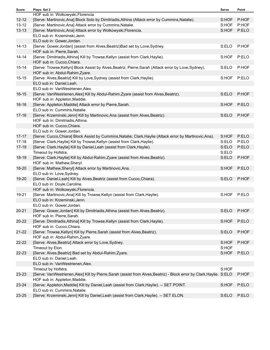| Score     | Plays: Set 2                                                                                                          | Serve | Point |
|-----------|-----------------------------------------------------------------------------------------------------------------------|-------|-------|
|           | HOF sub in: Wolkowyski, Florencia.                                                                                    |       |       |
| $12 - 12$ | [Serve: Martinovic, Ana] Block Solo by Dimitriadis, Athina (Attack error by Cummins, Natalie).                        | S:HOF | P:HOF |
| $13 - 12$ | [Serve: Martinovic, Ana] Attack error by Cummins, Natalie.                                                            | S:HOF | P:HOF |
| $13 - 13$ | [Serve: Martinovic, Ana] Attack error by Wolkowyski, Florencia.                                                       | S:HOF | P:ELO |
|           | ELO sub in: Krzeminski, Jenn.                                                                                         |       |       |
|           | ELO sub in: Gower, Jordan.                                                                                            |       |       |
| $14 - 13$ | [Serve: Gower, Jordan] (assist from Alves, Beatriz) Bad set by Love, Sydney.                                          | S:ELO | P:HOF |
|           | HOF sub in: Pierre, Sarah.                                                                                            |       |       |
| $14 - 14$ | [Serve: Dimitriadis, Athina] Kill by Trowse, Kellyn (assist from Clark, Haylie).                                      | S:HOF | P:ELO |
|           | HOF sub in: Cucco, Chiara.                                                                                            |       |       |
| $15 - 14$ | [Serve: Trowse, Kellyn] Block Assist by Alves, Beatriz; Pierre, Sarah (Attack error by Love, Sydney).                 | S:ELO | P:HOF |
|           | HOF sub in: Abdul-Rahim, Zyare.                                                                                       |       |       |
| $15 - 15$ | [Serve: Alves, Beatriz] Kill by Love, Sydney (assist from Clark, Haylie).                                             | S:HOF | P:ELO |
|           | ELO sub in: Daniel, Leah.                                                                                             |       |       |
|           | ELO sub in: VanWestrienen, Alex.                                                                                      |       |       |
| $16 - 15$ | [Serve: VanWestrienen, Alex] Kill by Abdul-Rahim, Zyare (assist from Alves, Beatriz).                                 | S:ELO | P:HOF |
|           | HOF sub in: Appleton, Maddie.                                                                                         |       |       |
| $16 - 16$ | [Serve: Appleton, Maddie] Attack error by Pierre, Sarah.                                                              | S:HOF | P:ELO |
|           | ELO sub in: Cummins, Natalie.                                                                                         |       |       |
| $17 - 16$ | [Serve: Krzeminski, Jenn] Kill by Martinovic, Ana (assist from Alves, Beatriz).                                       | S:ELO | P:HOF |
|           | HOF sub in: Dimitriadis, Athina.                                                                                      |       |       |
|           | HOF sub in: Cucco, Chiara.                                                                                            |       |       |
|           | ELO sub in: Gower, Jordan.                                                                                            |       |       |
| $17 - 17$ | [Serve: Cucco, Chiara] Block Assist by Cummins, Natalie; Clark, Haylie (Attack error by Martinovic, Ana).             | S:HOF | P:ELO |
| $17 - 18$ | [Serve: Clark, Haylie] Kill by Trowse, Kellyn (assist from Clark, Haylie).                                            | S:ELO | P:ELO |
| 17-19     | [Serve: Clark, Haylie] Kill by Daniel, Leah (assist from Clark, Haylie).                                              | S:ELO | P:ELO |
|           | Timeout by Hofstra.                                                                                                   | S:ELO |       |
| 18-19     | [Serve: Clark, Haylie] Kill by Abdul-Rahim, Zyare (assist from Alves, Beatriz).                                       | S:ELO | P:HOF |
|           | HOF sub in: Mathew, Sheryl.                                                                                           |       |       |
| 18-20     | [Serve: Mathew, Sheryl] Attack error by Martinovic, Ana.                                                              | S:HOF | P:ELO |
|           | ELO sub in: Love, Sydney.                                                                                             |       |       |
| 19-20     | [Serve: Daniel, Leah] Kill by Alves, Beatriz (assist from Cucco, Chiara).                                             | S:ELO | P:HOF |
|           | ELO sub in: Doyle, Caroline.                                                                                          |       |       |
|           | HOF sub in: Wolkowyski, Florencia.                                                                                    |       |       |
| 19-21     | [Serve: Martinovic, Ana] Kill by Trowse, Kellyn (assist from Clark, Haylie).                                          | S:HOF | P:ELO |
|           | ELO sub in: Krzeminski, Jenn.                                                                                         |       |       |
|           | ELO sub in: Gower, Jordan.                                                                                            |       |       |
| $20 - 21$ | [Serve: Gower, Jordan] Kill by Dimitriadis, Athina (assist from Alves, Beatriz).                                      | S:ELO | P:HOF |
|           | HOF sub in: Pierre, Sarah.                                                                                            |       |       |
| 20-22     | [Serve: Dimitriadis, Athina] Kill by Trowse, Kellyn (assist from Clark, Haylie).                                      | S:HOF | P:ELO |
|           | HOF sub in: Cucco, Chiara.                                                                                            |       |       |
| $21 - 22$ | [Serve: Trowse, Kellyn] Kill by Pierre, Sarah (assist from Alves, Beatriz).                                           | S:ELO | P:HOF |
|           | HOF sub in: Abdul-Rahim, Zyare.                                                                                       |       |       |
| 22-22     | [Serve: Alves, Beatriz] Attack error by Love, Sydney.                                                                 | S:HOF | P:HOF |
|           | Timeout by Elon.                                                                                                      | S:HOF |       |
| 22-23     | [Serve: Alves, Beatriz] Bad set by Abdul-Rahim, Zyare.                                                                | S:HOF | P:ELO |
|           | ELO sub in: Daniel, Leah.                                                                                             |       |       |
|           | ELO sub in: VanWestrienen, Alex.                                                                                      |       |       |
|           | Timeout by Hofstra.                                                                                                   | S:HOF |       |
| 23-23     | [Serve: VanWestrienen, Alex] Kill by Pierre, Sarah (assist from Alves, Beatriz) - Block error by Clark, Haylie. S:ELO |       | P:HOF |
|           | HOF sub in: Appleton, Maddie.                                                                                         |       |       |
| 23-24     | [Serve: Appleton, Maddie] Kill by Daniel, Leah (assist from Clark, Haylie). -- SET POINT.                             | S:HOF | P:ELO |
|           | ELO sub in: Cummins, Natalie.                                                                                         |       |       |
| 23-25     | [Serve: Krzeminski, Jenn] Kill by Daniel, Leah (assist from Clark, Haylie). -- SET ELON.                              | S:ELO | P:ELO |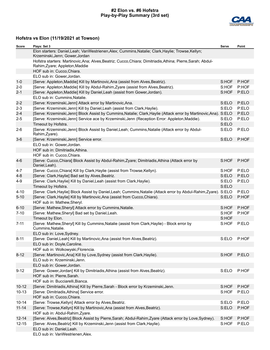#### **#2 Elon vs. #6 Hofstra Play-by-Play Summary (3rd set)**



| Score     | Plays: Set 3                                                                                                                                   | Serve | Point |
|-----------|------------------------------------------------------------------------------------------------------------------------------------------------|-------|-------|
|           | Elon starters: Daniel, Leah; VanWestrienen, Alex; Cummins, Natalie; Clark, Haylie; Trowse, Kellyn;<br>Krzeminski, Jenn; Gower, Jordan          |       |       |
|           | Hofstra starters: Martinovic, Ana; Alves, Beatriz; Cucco, Chiara; Dimitriadis, Athina; Pierre, Sarah; Abdul-<br>Rahim, Zyare; Appleton, Maddie |       |       |
|           | HOF sub in: Cucco, Chiara.                                                                                                                     |       |       |
|           | ELO sub in: Gower, Jordan.                                                                                                                     |       |       |
| $1 - 0$   | [Serve: Appleton, Maddie] Kill by Martinovic, Ana (assist from Alves, Beatriz).                                                                | S:HOF | P:HOF |
| $2 - 0$   | [Serve: Appleton, Maddie] Kill by Abdul-Rahim, Zyare (assist from Alves, Beatriz).                                                             | S:HOF | P:HOF |
| $2 - 1$   | [Serve: Appleton, Maddie] Kill by Daniel, Leah (assist from Gower, Jordan).                                                                    | S:HOF | P:ELO |
|           | ELO sub in: Cummins, Natalie.                                                                                                                  |       |       |
| $2 - 2$   | [Serve: Krzeminski, Jenn] Attack error by Martinovic, Ana.                                                                                     | S:ELO | P:ELO |
| $2 - 3$   | [Serve: Krzeminski, Jenn] Kill by Daniel, Leah (assist from Clark, Haylie).                                                                    | S:ELO | P:ELO |
| $2 - 4$   | [Serve: Krzeminski, Jenn] Block Assist by Cummins, Natalie; Clark, Haylie (Attack error by Martinovic, Ana). S:ELO                             |       | P:ELO |
| $2 - 5$   | [Serve: Krzeminski, Jenn] Service ace by Krzeminski, Jenn (Reception Error: Appleton, Maddie).                                                 | S:ELO | P:ELO |
|           | Timeout by Hofstra.                                                                                                                            | S:ELO |       |
| $2 - 6$   | [Serve: Krzeminski, Jenn] Block Assist by Daniel, Leah; Cummins, Natalie (Attack error by Abdul-<br>Rahim, Zyare).                             | S:ELO | P:ELO |
| $3-6$     | [Serve: Krzeminski, Jenn] Service error.                                                                                                       | S:ELO | P:HOF |
|           | ELO sub in: Gower, Jordan.                                                                                                                     |       |       |
|           | HOF sub in: Dimitriadis, Athina.                                                                                                               |       |       |
|           | HOF sub in: Cucco, Chiara.                                                                                                                     |       |       |
| $4 - 6$   | [Serve: Cucco, Chiara] Block Assist by Abdul-Rahim, Zyare; Dimitriadis, Athina (Attack error by<br>Daniel, Leah).                              | S:HOF | P:HOF |
| $4 - 7$   | [Serve: Cucco, Chiara] Kill by Clark, Haylie (assist from Trowse, Kellyn).                                                                     | S:HOF | P:ELO |
| $4 - 8$   | [Serve: Clark, Haylie] Bad set by Alves, Beatriz.                                                                                              | S:ELO | P:ELO |
| $4 - 9$   | [Serve: Clark, Haylie] Kill by Daniel, Leah (assist from Clark, Haylie).                                                                       | S:ELO | P:ELO |
|           | Timeout by Hofstra.                                                                                                                            | S:ELO |       |
| $4 - 10$  | [Serve: Clark, Haylie] Block Assist by Daniel, Leah; Cummins, Natalie (Attack error by Abdul-Rahim, Zyare). S:ELO                              |       | P:ELO |
| $5 - 10$  | [Serve: Clark, Haylie] Kill by Martinovic, Ana (assist from Cucco, Chiara).                                                                    | S:ELO | P:HOF |
|           | HOF sub in: Mathew, Sheryl.                                                                                                                    |       |       |
| $6 - 10$  | [Serve: Mathew, Sheryl] Attack error by Cummins, Natalie.                                                                                      | S:HOF | P:HOF |
| $7 - 10$  | [Serve: Mathew, Sheryl] Bad set by Daniel, Leah.                                                                                               | S:HOF | P:HOF |
|           | Timeout by Elon.                                                                                                                               | S:HOF |       |
| $7 - 11$  | [Serve: Mathew, Sheryl] Kill by Cummins, Natalie (assist from Clark, Haylie) - Block error by<br>Cummins, Natalie.                             | S:HOF | P:ELO |
|           | ELO sub in: Love, Sydney.                                                                                                                      |       |       |
| $8 - 11$  | [Serve: Daniel, Leah] Kill by Martinovic, Ana (assist from Alves, Beatriz).                                                                    | S:ELO | P:HOF |
|           | ELO sub in: Doyle, Caroline.                                                                                                                   |       |       |
|           | HOF sub in: Wolkowyski, Florencia.                                                                                                             |       |       |
| $8 - 12$  | [Serve: Martinovic, Ana] Kill by Love, Sydney (assist from Clark, Haylie).                                                                     | S:HOF | P:ELO |
|           | ELO sub in: Krzeminski, Jenn.                                                                                                                  |       |       |
|           | ELO sub in: Gower, Jordan.                                                                                                                     |       |       |
| $9 - 12$  | [Serve: Gower, Jordan] Kill by Dimitriadis, Athina (assist from Alves, Beatriz).                                                               | S:ELO | P:HOF |
|           | HOF sub in: Pierre, Sarah.                                                                                                                     |       |       |
|           | HOF sub in: Bucciarelli, Bianca.                                                                                                               |       |       |
| $10 - 12$ | [Serve: Dimitriadis, Athina] Kill by Pierre, Sarah - Block error by Krzeminski, Jenn.                                                          | S:HOF | P:HOF |
| $10 - 13$ | [Serve: Dimitriadis, Athina] Service error.                                                                                                    | S:HOF | P:ELO |
|           | HOF sub in: Cucco, Chiara.                                                                                                                     |       |       |
| $10 - 14$ | [Serve: Trowse, Kellyn] Attack error by Alves, Beatriz.                                                                                        | S:ELO | P:ELO |
| $11 - 14$ | [Serve: Trowse, Kellyn] Kill by Martinovic, Ana (assist from Alves, Beatriz).                                                                  | S:ELO | P:HOF |
|           | HOF sub in: Abdul-Rahim, Zyare.                                                                                                                |       |       |
| $12 - 14$ | [Serve: Alves, Beatriz] Block Assist by Pierre, Sarah; Abdul-Rahim, Zyare (Attack error by Love, Sydney).                                      | S:HOF | P:HOF |
| $12 - 15$ | [Serve: Alves, Beatriz] Kill by Krzeminski, Jenn (assist from Clark, Haylie).                                                                  | S:HOF | P:ELO |
|           | ELO sub in: Daniel, Leah.                                                                                                                      |       |       |
|           | ELO sub in: VanWestrienen, Alex.                                                                                                               |       |       |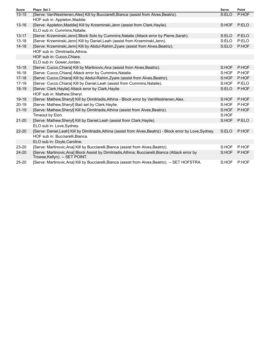| <b>Score</b> | Plays: Set 3                                                                                                                         | Serve | Point |
|--------------|--------------------------------------------------------------------------------------------------------------------------------------|-------|-------|
| $13 - 15$    | [Serve: VanWestrienen, Alex] Kill by Bucciarelli, Bianca (assist from Alves, Beatriz).                                               | S:ELO | P:HOF |
|              | HOF sub in: Appleton, Maddie.                                                                                                        |       |       |
| $13 - 16$    | [Serve: Appleton, Maddie] Kill by Krzeminski, Jenn (assist from Clark, Haylie).                                                      | S:HOF | P:ELO |
|              | ELO sub in: Cummins, Natalie.                                                                                                        |       |       |
| $13 - 17$    | [Serve: Krzeminski, Jenn] Block Solo by Cummins, Natalie (Attack error by Pierre, Sarah).                                            | S:ELO | P:ELO |
| $13 - 18$    | [Serve: Krzeminski, Jenn] Kill by Daniel, Leah (assist from Krzeminski, Jenn).                                                       | S:ELO | P:ELO |
| $14 - 18$    | [Serve: Krzeminski, Jenn] Kill by Abdul-Rahim, Zyare (assist from Alves, Beatriz).                                                   | S:ELO | P:HOF |
|              | HOF sub in: Dimitriadis, Athina.                                                                                                     |       |       |
|              | HOF sub in: Cucco, Chiara.                                                                                                           |       |       |
|              | ELO sub in: Gower, Jordan.                                                                                                           |       |       |
| $15 - 18$    | [Serve: Cucco, Chiara] Kill by Martinovic, Ana (assist from Alves, Beatriz).                                                         | S:HOF | P:HOF |
| $16 - 18$    | [Serve: Cucco, Chiara] Attack error by Cummins, Natalie.                                                                             | S:HOF | P:HOF |
| $17 - 18$    | [Serve: Cucco, Chiara] Kill by Abdul-Rahim, Zyare (assist from Alves, Beatriz).                                                      | S:HOF | P:HOF |
| $17-19$      | [Serve: Cucco, Chiara] Kill by Daniel, Leah (assist from Cummins, Natalie).                                                          | S:HOF | P:ELO |
| 18-19        | [Serve: Clark, Haylie] Attack error by Clark, Haylie.                                                                                | S:ELO | P:HOF |
|              | HOF sub in: Mathew, Sheryl.                                                                                                          |       |       |
| 19-19        | [Serve: Mathew, Sheryl] Kill by Dimitriadis, Athina - Block error by VanWestrienen, Alex.                                            | S:HOF | P:HOF |
| $20 - 19$    | [Serve: Mathew, Sheryl] Bad set by Clark, Haylie.                                                                                    | S:HOF | P:HOF |
| $21 - 19$    | [Serve: Mathew, Sheryl] Kill by Dimitriadis, Athina (assist from Alves, Beatriz).                                                    | S:HOF | P:HOF |
|              | Timeout by Elon.                                                                                                                     | S:HOF |       |
| $21 - 20$    | [Serve: Mathew, Sheryl] Kill by Daniel, Leah (assist from Clark, Haylie).                                                            | S:HOF | P:ELO |
|              | ELO sub in: Love, Sydney.                                                                                                            |       |       |
| 22-20        | [Serve: Daniel, Leah] Kill by Dimitriadis, Athina (assist from Alves, Beatriz) - Block error by Love, Sydney.                        | S:ELO | P:HOF |
|              | HOF sub in: Bucciarelli, Bianca.                                                                                                     |       |       |
|              | ELO sub in: Doyle, Caroline.                                                                                                         |       |       |
| $23 - 20$    | [Serve: Martinovic, Ana] Kill by Bucciarelli, Bianca (assist from Alves, Beatriz).                                                   | S:HOF | P:HOF |
| 24-20        | [Serve: Martinovic, Ana] Block Assist by Dimitriadis, Athina; Bucciarelli, Bianca (Attack error by<br>Trowse, Kellyn). -- SET POINT. | S:HOF | P:HOF |
| $25 - 20$    | [Serve: Martinovic, Ana] Kill by Bucciarelli, Bianca (assist from Alves, Beatriz). -- SET HOFSTRA.                                   | S:HOF | P:HOF |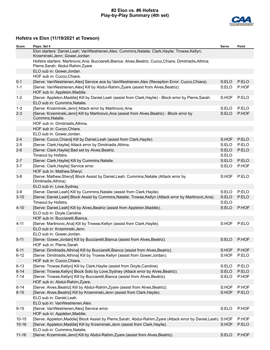#### **#2 Elon vs. #6 Hofstra Play-by-Play Summary (4th set)**



| Score     | Plays: Set 4                                                                                                                                     | Serve | Point |
|-----------|--------------------------------------------------------------------------------------------------------------------------------------------------|-------|-------|
|           | Elon starters: Daniel, Leah; VanWestrienen, Alex; Cummins, Natalie; Clark, Haylie; Trowse, Kellyn;<br>Krzeminski, Jenn; Gower, Jordan            |       |       |
|           | Hofstra starters: Martinovic, Ana; Bucciarelli, Bianca; Alves, Beatriz; Cucco, Chiara; Dimitriadis, Athina;<br>Pierre, Sarah; Abdul-Rahim, Zyare |       |       |
|           | ELO sub in: Gower, Jordan.                                                                                                                       |       |       |
|           | HOF sub in: Cucco, Chiara.                                                                                                                       |       |       |
| $0 - 1$   | [Serve: VanWestrienen, Alex] Service ace by VanWestrienen, Alex (Reception Error: Cucco, Chiara).                                                | S:ELO | P:ELO |
| $1 - 1$   | [Serve: VanWestrienen, Alex] Kill by Abdul-Rahim, Zyare (assist from Alves, Beatriz).                                                            | S:ELO | P:HOF |
|           | HOF sub in: Appleton, Maddie.                                                                                                                    |       |       |
| $1 - 2$   | [Serve: Appleton, Maddie] Kill by Daniel, Leah (assist from Clark, Haylie) - Block error by Pierre, Sarah.                                       | S:HOF | P:ELO |
|           | ELO sub in: Cummins, Natalie.                                                                                                                    |       |       |
| $1 - 3$   | [Serve: Krzeminski, Jenn] Attack error by Martinovic, Ana.                                                                                       | S:ELO | P:ELO |
| $2 - 3$   | [Serve: Krzeminski, Jenn] Kill by Martinovic, Ana (assist from Alves, Beatriz) - Block error by<br>Cummins, Natalie.                             | S:ELO | P:HOF |
|           | HOF sub in: Dimitriadis, Athina.                                                                                                                 |       |       |
|           | HOF sub in: Cucco, Chiara.                                                                                                                       |       |       |
|           | ELO sub in: Gower, Jordan.                                                                                                                       |       |       |
| $2 - 4$   | [Serve: Cucco, Chiara] Kill by Daniel, Leah (assist from Clark, Haylie).                                                                         | S:HOF | P:ELO |
| $2 - 5$   | [Serve: Clark, Haylie] Attack error by Dimitriadis, Athina.                                                                                      | S:ELO | P:ELO |
| $2 - 6$   | [Serve: Clark, Haylie] Bad set by Alves, Beatriz.                                                                                                | S:ELO | P:ELO |
|           | Timeout by Hofstra.                                                                                                                              | S:ELO |       |
| $2 - 7$   | [Serve: Clark, Haylie] Kill by Cummins, Natalie.                                                                                                 | S:ELO | P:ELO |
| $3 - 7$   | [Serve: Clark, Haylie] Service error.                                                                                                            | S:ELO | P:HOF |
|           | HOF sub in: Mathew, Sheryl.                                                                                                                      |       |       |
| $3-8$     | [Serve: Mathew, Sheryl] Block Assist by Daniel, Leah; Cummins, Natalie (Attack error by<br>Dimitriadis, Athina).                                 | S:HOF | P:ELO |
|           | ELO sub in: Love, Sydney.                                                                                                                        |       |       |
| $3-9$     | [Serve: Daniel, Leah] Kill by Cummins, Natalie (assist from Clark, Haylie).                                                                      | S:ELO | P:ELO |
| $3 - 10$  | [Serve: Daniel, Leah] Block Assist by Cummins, Natalie; Trowse, Kellyn (Attack error by Martinovic, Ana).                                        | S:ELO | P:ELO |
|           | Timeout by Hofstra.                                                                                                                              | S:ELO |       |
| $4 - 10$  | [Serve: Daniel, Leah] Kill by Alves, Beatriz (assist from Appleton, Maddie).                                                                     | S:ELO | P:HOF |
|           | ELO sub in: Doyle, Caroline.                                                                                                                     |       |       |
|           | HOF sub in: Bucciarelli, Bianca.                                                                                                                 |       |       |
| $4 - 11$  | [Serve: Martinovic, Ana] Kill by Trowse, Kellyn (assist from Clark, Haylie).                                                                     | S:HOF | P:ELO |
|           | ELO sub in: Krzeminski, Jenn.                                                                                                                    |       |       |
|           | ELO sub in: Gower, Jordan.                                                                                                                       |       |       |
| $5 - 11$  | [Serve: Gower, Jordan] Kill by Bucciarelli, Bianca (assist from Alves, Beatriz).                                                                 | S:ELO | P:HOF |
|           | HOF sub in: Pierre, Sarah.                                                                                                                       |       |       |
| $6 - 11$  | [Serve: Dimitriadis, Athina] Kill by Bucciarelli, Bianca (assist from Alves, Beatriz).                                                           | S:HOF | P:HOF |
| $6 - 12$  | [Serve: Dimitriadis, Athina] Kill by Trowse, Kellyn (assist from Gower, Jordan).                                                                 | S:HOF | P:ELO |
|           | HOF sub in: Cucco, Chiara.                                                                                                                       |       |       |
| $6 - 13$  | [Serve: Trowse, Kellyn] Kill by Clark, Haylie (assist from Doyle, Caroline).                                                                     | S:ELO | P:ELO |
| $6 - 14$  | [Serve: Trowse, Kellyn] Block Solo by Love, Sydney (Attack error by Alves, Beatriz).                                                             | S:ELO | P:ELO |
| $7 - 14$  | [Serve: Trowse, Kellyn] Kill by Bucciarelli, Bianca (assist from Alves, Beatriz).                                                                | S:ELO | P:HOF |
|           | HOF sub in: Abdul-Rahim, Zyare.                                                                                                                  |       |       |
| $8 - 14$  | [Serve: Alves, Beatriz] Kill by Abdul-Rahim, Zyare (assist from Alves, Beatriz).                                                                 | S:HOF | P:HOF |
| $8 - 15$  | [Serve: Alves, Beatriz] Kill by Krzeminski, Jenn (assist from Clark, Haylie).                                                                    | S:HOF | P:ELO |
|           | ELO sub in: Daniel, Leah.                                                                                                                        |       |       |
|           | ELO sub in: VanWestrienen, Alex.                                                                                                                 |       |       |
| $9 - 15$  | [Serve: VanWestrienen, Alex] Service error.                                                                                                      | S:ELO | P:HOF |
|           | HOF sub in: Appleton, Maddie.                                                                                                                    |       |       |
| $10 - 15$ | [Serve: Appleton, Maddie] Block Assist by Pierre, Sarah; Abdul-Rahim, Zyare (Attack error by Daniel, Leah). S:HOF                                |       | P:HOF |
| $10 - 16$ | [Serve: Appleton, Maddie] Kill by Krzeminski, Jenn (assist from Clark, Haylie).                                                                  | S:HOF | P:ELO |
|           | ELO sub in: Cummins, Natalie.                                                                                                                    |       |       |
| $11 - 16$ | [Serve: Krzeminski, Jenn] Kill by Abdul-Rahim, Zyare (assist from Alves, Beatriz).                                                               | S:ELO | P:HOF |